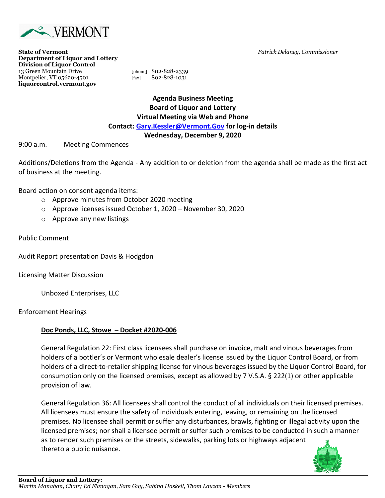

**State of Vermont** *Patrick Delaney, Commissioner* **Department of Liquor and Lottery Division of Liquor Control** 13 Green Mountain Drive [phone] 802-828-2339 Montpelier, VT 05620-4501 [fax] 802-828-1031 **liquorcontrol.vermont.gov**

**Agenda Business Meeting Board of Liquor and Lottery Virtual Meeting via Web and Phone Contact: Gary.Kessler@Vermont.Gov for log-in details Wednesday, December 9, 2020** 

9:00 a.m. Meeting Commences

Additions/Deletions from the Agenda - Any addition to or deletion from the agenda shall be made as the first act of business at the meeting.

Board action on consent agenda items:

- o Approve minutes from October 2020 meeting
- o Approve licenses issued October 1, 2020 November 30, 2020
- o Approve any new listings

Public Comment

Audit Report presentation Davis & Hodgdon

Licensing Matter Discussion

Unboxed Enterprises, LLC

Enforcement Hearings

## **Doc Ponds, LLC, Stowe – Docket #2020-006**

General Regulation 22: First class licensees shall purchase on invoice, malt and vinous beverages from holders of a bottler's or Vermont wholesale dealer's license issued by the Liquor Control Board, or from holders of a direct-to-retailer shipping license for vinous beverages issued by the Liquor Control Board, for consumption only on the licensed premises, except as allowed by 7 V.S.A. § 222(1) or other applicable provision of law.

General Regulation 36: All licensees shall control the conduct of all individuals on their licensed premises. All licensees must ensure the safety of individuals entering, leaving, or remaining on the licensed premises. No licensee shall permit or suffer any disturbances, brawls, fighting or illegal activity upon the licensed premises; nor shall a licensee permit or suffer such premises to be conducted in such a manner as to render such premises or the streets, sidewalks, parking lots or highways adjacent thereto a public nuisance.